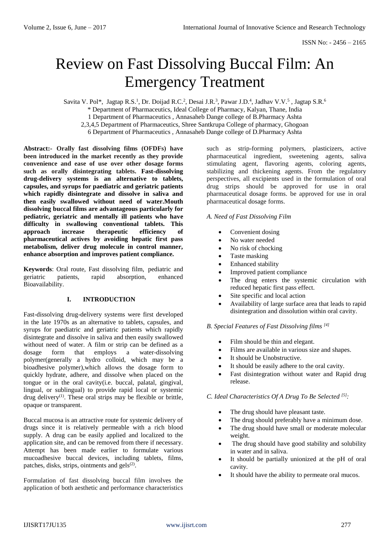# Review on Fast Dissolving Buccal Film: An Emergency Treatment

Savita V. Pol<sup>\*</sup>, Jagtap R.S.<sup>1</sup>, Dr. Doijad R.C.<sup>2</sup>, Desai J.R.<sup>3</sup>, Pawar J.D.<sup>4</sup>, Jadhav V.V.<sup>5</sup>, Jagtap S.R.<sup>6</sup>

\* Department of Pharmaceutics, Ideal College of Pharmacy, Kalyan, Thane, India

1 Department of Pharmaceutics , Annasaheb Dange college of B.Pharmacy Ashta

2,3,4,5 Department of Pharmaceutics, Shree Santkrupa College of pharmacy, Ghogoan

6 Department of Pharmaceutics , Annasaheb Dange college of D.Pharmacy Ashta

**Abstract:- Orally fast dissolving films (OFDFs) have been introduced in the market recently as they provide convenience and ease of use over other dosage forms such as orally disintegrating tablets. Fast-dissolving drug-delivery systems is an alternative to tablets, capsules, and syrups for paediatric and geriatric patients which rapidly disintegrate and dissolve in saliva and then easily swallowed without need of water.Mouth dissolving buccal films are advantageous particularly for pediatric, geriatric and mentally ill patients who have difficulty in swallowing conventional tablets. This approach increase therapeutic efficiency of pharmaceutical actives by avoiding hepatic first pass metabolism, deliver drug molecule in control manner, enhance absorption and improves patient compliance.**

**Keywords**: Oral route, Fast dissolving film, pediatric and geriatric patients, rapid absorption, enhanced Bioavailability.

# **I. INTRODUCTION**

Fast-dissolving drug-delivery systems were first developed in the late 1970s as an alternative to tablets, capsules, and syrups for paediatric and geriatric patients which rapidly disintegrate and dissolve in saliva and then easily swallowed without need of water. A film or strip can be defined as a dosage form that employs a water-dissolving polymer(generally a hydro colloid, which may be a bioadhesive polymer),which allows the dosage form to quickly hydrate, adhere, and dissolve when placed on the tongue or in the oral cavity(i.e. buccal, palatal, gingival, lingual, or sublingual) to provide rapid local or systemic drug delivery<sup>(1)</sup>. These oral strips may be flexible or brittle, opaque or transparent.

Buccal mucosa is an attractive route for systemic delivery of drugs since it is relatively permeable with a rich blood supply. A drug can be easily applied and localized to the application site, and can be removed from there if necessary. Attempt has been made earlier to formulate various mucoadhesive buccal devices, including tablets, films, patches, disks, strips, ointments and gels $(2)$ .

Formulation of fast dissolving buccal film involves the application of both aesthetic and performance characteristics

such as strip-forming polymers, plasticizers, active pharmaceutical ingredient, sweetening agents, saliva stimulating agent, flavoring agents, coloring agents, stabilizing and thickening agents. From the regulatory perspectives, all excipients used in the formulation of oral drug strips should be approved for use in oral pharmaceutical dosage forms. be approved for use in oral pharmaceutical dosage forms.

# *A. Need of Fast Dissolving Film*

- Convenient dosing
- No water needed
- No risk of chocking
- Taste masking
- Enhanced stability
- Improved patient compliance
- The drug enters the systemic circulation with reduced hepatic first pass effect.
- Site specific and local action
- Availability of large surface area that leads to rapid disintegration and dissolution within oral cavity.

# *B. Special Features of Fast Dissolving films [4]*

- Film should be thin and elegant.
- Films are available in various size and shapes.
- It should be Unobstructive.
- It should be easily adhere to the oral cavity.
- Fast disintegration without water and Rapid drug release.

*C. Ideal Characteristics Of A Drug To Be Selected [5]:*

- The drug should have pleasant taste.
- The drug should preferably have a minimum dose.
- The drug should have small or moderate molecular weight.
- The drug should have good stability and solubility in water and in saliva.
- It should be partially unionized at the pH of oral cavity.
- It should have the ability to permeate oral mucos.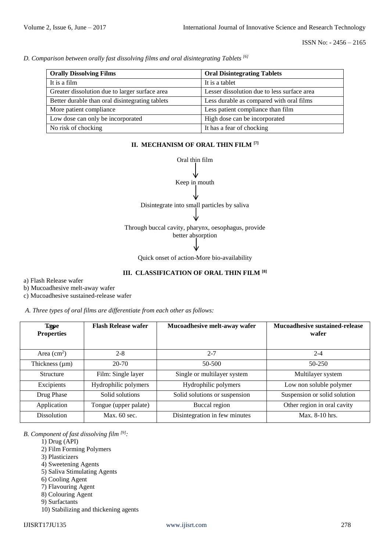*D. Comparison between orally fast dissolving films and oral disintegrating Tablets [6]*

| <b>Orally Dissolving Films</b>                  | <b>Oral Disintegrating Tablets</b>          |  |
|-------------------------------------------------|---------------------------------------------|--|
| It is a film                                    | It is a tablet                              |  |
| Greater dissolution due to larger surface area  | Lesser dissolution due to less surface area |  |
| Better durable than oral disintegrating tablets | Less durable as compared with oral films    |  |
| More patient compliance                         | Less patient compliance than film           |  |
| Low dose can only be incorporated               | High dose can be incorporated               |  |
| No risk of chocking                             | It has a fear of chocking                   |  |

# **II. MECHANISM OF ORAL THIN FILM [7]**



Quick onset of action-More bio-availability

# **III. CLASSIFICATION OF ORAL THIN FILM [8]**

a) Flash Release wafer

b) Mucoadhesive melt-away wafer

c) Mucoadhesive sustained-release wafer

*A. Three types of oral films are differentiate from each other as follows:*

| Type<br><b>Properties</b> | <b>Flash Release wafer</b> | Mucoadhesive melt-away wafer  | <b>Mucoadhesive sustained-release</b><br>wafer |
|---------------------------|----------------------------|-------------------------------|------------------------------------------------|
| Area $\text{cm}^2$ )      | $2 - 8$                    | $2 - 7$                       | $2 - 4$                                        |
| Thickness $(\mu m)$       | $20 - 70$                  | 50-500                        | $50 - 250$                                     |
| <b>Structure</b>          | Film: Single layer         | Single or multilayer system   | Multilayer system                              |
| Excipients                | Hydrophilic polymers       | Hydrophilic polymers          | Low non soluble polymer                        |
| Drug Phase                | Solid solutions            | Solid solutions or suspension | Suspension or solid solution                   |
| Application               | Tongue (upper palate)      | Buccal region                 | Other region in oral cavity                    |
| <b>Dissolution</b>        | Max. $60$ sec.             | Disintegration in few minutes | Max. 8-10 hrs.                                 |

*B. Component of fast dissolving film [9]:*

- 1) Drug (API)
- 2) Film Forming Polymers
- 3) Plasticizers
- 4) Sweetening Agents
- 5) Saliva Stimulating Agents
- 6) Cooling Agent
- 7) Flavouring Agent
- 8) Colouring Agent
- 9) Surfactants
- 10) Stabilizing and thickening agents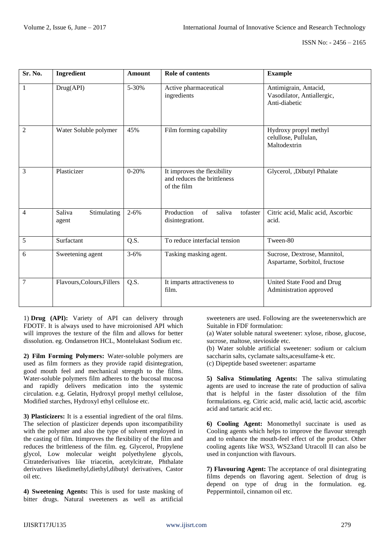| Sr. No.        | Ingredient                     | Amount    | <b>Role of contents</b>                                                   | <b>Example</b>                                                       |
|----------------|--------------------------------|-----------|---------------------------------------------------------------------------|----------------------------------------------------------------------|
| 1              | Drug(API)                      | 5-30%     | Active pharmaceutical<br>ingredients                                      | Antimigrain, Antacid,<br>Vasodilator, Antiallergic,<br>Anti-diabetic |
| 2              | Water Soluble polymer          | 45%       | Film forming capability                                                   | Hydroxy propyl methyl<br>celullose, Pullulan,<br>Maltodextrin        |
| 3              | Plasticizer                    | $0 - 20%$ | It improves the flexibility<br>and reduces the brittleness<br>of the film | Glycerol, ,Dibutyl Pthalate                                          |
| 4              | Saliva<br>Stimulating<br>agent | $2 - 6\%$ | Production<br>of<br>tofaster<br>saliva<br>disintegrationt.                | Citric acid, Malic acid, Ascorbic<br>acid.                           |
| 5              | Surfactant                     | Q.S.      | To reduce interfacial tension                                             | Tween-80                                                             |
| 6              | Sweetening agent               | $3 - 6\%$ | Tasking masking agent.                                                    | Sucrose, Dextrose, Mannitol,<br>Aspartame, Sorbitol, fructose        |
| $\overline{7}$ | Flavours, Colours, Fillers     | Q.S.      | It imparts attractiveness to<br>film.                                     | United State Food and Drug<br>Administration approved                |

1) **Drug (API):** Variety of API can delivery through FDOTF. It is always used to have microionised API which will improves the texture of the film and allows for better dissolution. eg. Ondansetron HCL, Montelukast Sodium etc.

**2) Film Forming Polymers:** Water-soluble polymers are used as film formers as they provide rapid disintegration, good mouth feel and mechanical strength to the films. Water-soluble polymers film adheres to the bucosal mucosa and rapidly delivers medication into the systemic circulation. e.g. Gelatin, Hydroxyl propyl methyl cellulose, Modified starches, Hydroxyl ethyl cellulose etc.

**3) Plasticizers:** It is a essential ingredient of the oral films. The selection of plasticizer depends upon itscompatibility with the polymer and also the type of solvent employed in the casting of film. Itimproves the flexibility of the film and reduces the brittleness of the film. eg. Glycerol, Propylene glycol, Low molecular weight polyethylene glycols, Citratederivatives like triacetin, acetylcitrate, Phthalate derivatives likedimethyl,diethyl,dibutyl derivatives, Castor oil etc.

**4) Sweetening Agents:** This is used for taste masking of bitter drugs. Natural sweeteners as well as artificial

sweeteners are used. Following are the sweetenerswhich are Suitable in FDF formulation:

(a) Water soluble natural sweetener: xylose, ribose, glucose, sucrose, maltose, stevioside etc.

(b) Water soluble artificial sweetener: sodium or calcium saccharin salts, cyclamate salts,acesulfame-k etc. (c) Dipeptide based sweetener: aspartame

**5) Saliva Stimulating Agents:** The saliva stimulating agents are used to increase the rate of production of saliva that is helpful in the faster dissolution of the film formulations. eg. Citric acid, malic acid, lactic acid, ascorbic acid and tartaric acid etc.

**6) Cooling Agent:** Monomethyl succinate is used as Cooling agents which helps to improve the flavour strength and to enhance the mouth-feel effect of the product. Other cooling agents like WS3, WS23and Utracoll II can also be used in conjunction with flavours.

**7) Flavouring Agent:** The acceptance of oral disintegrating films depends on flavoring agent. Selection of drug is depend on type of drug in the formulation. eg. Peppermintoil, cinnamon oil etc.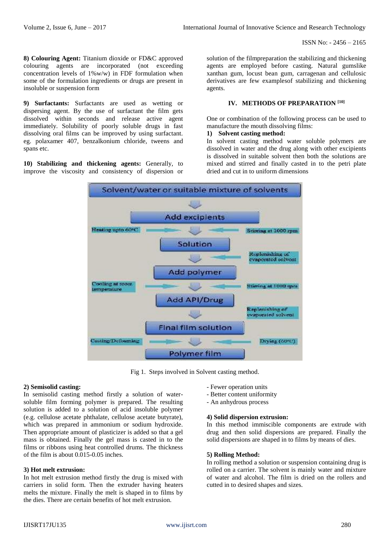ISSN No: - 2456 – 2165

**8) Colouring Agent:** Titanium dioxide or FD&C approved colouring agents are incorporated (not exceeding concentration levels of 1%w/w) in FDF formulation when some of the formulation ingredients or drugs are present in insoluble or suspension form

**9) Surfactants:** Surfactants are used as wetting or dispersing agent. By the use of surfactant the film gets dissolved within seconds and release active agent immediately. Solubility of poorly soluble drugs in fast dissolving oral films can be improved by using surfactant. eg. polaxamer 407, benzalkonium chloride, tweens and spans etc.

**10) Stabilizing and thickening agents:** Generally, to improve the viscosity and consistency of dispersion or solution of the filmpreparation the stabilizing and thickening agents are employed before casting. Natural gumslike xanthan gum, locust bean gum, carragenan and cellulosic derivatives are few examplesof stabilizing and thickening agents.

#### **IV. METHODS OF PREPARATION [10]**

One or combination of the following process can be used to manufacture the mouth dissolving films:

#### **1) Solvent casting method:**

In solvent casting method water soluble polymers are dissolved in water and the drug along with other excipients is dissolved in suitable solvent then both the solutions are mixed and stirred and finally casted in to the petri plate dried and cut in to uniform dimensions



Fig 1. Steps involved in Solvent casting method.

# **2) Semisolid casting:**

In semisolid casting method firstly a solution of watersoluble film forming polymer is prepared. The resulting solution is added to a solution of acid insoluble polymer (e.g. cellulose acetate phthalate, cellulose acetate butyrate), which was prepared in ammonium or sodium hydroxide. Then appropriate amount of plasticizer is added so that a gel mass is obtained. Finally the gel mass is casted in to the films or ribbons using heat controlled drums. The thickness of the film is about 0.015-0.05 inches.

# **3) Hot melt extrusion:**

In hot melt extrusion method firstly the drug is mixed with carriers in solid form. Then the extruder having heaters melts the mixture. Finally the melt is shaped in to films by the dies. There are certain benefits of hot melt extrusion.

- Fewer operation units
- Better content uniformity
- An anhydrous process

# **4) Solid dispersion extrusion:**

In this method immiscible components are extrude with drug and then solid dispersions are prepared. Finally the solid dispersions are shaped in to films by means of dies.

#### **5) Rolling Method:**

In rolling method a solution or suspension containing drug is rolled on a carrier. The solvent is mainly water and mixture of water and alcohol. The film is dried on the rollers and cutted in to desired shapes and sizes.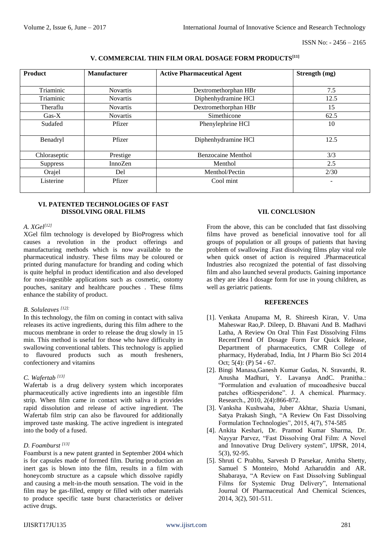# **V. COMMERCIAL THIN FILM ORAL DOSAGE FORM PRODUCTS[11]**

| <b>Product</b>  | <b>Manufacturer</b> | <b>Active Pharmaceutical Agent</b> | Strength (mg) |
|-----------------|---------------------|------------------------------------|---------------|
|                 |                     |                                    |               |
| Triaminic       | <b>Novartis</b>     | Dextromethorphan HBr               | 7.5           |
| Triaminic       | <b>Novartis</b>     | Diphenhydramine HCl                | 12.5          |
| Theraflu        | <b>Novartis</b>     | Dextromethorphan HBr               | 15            |
| $Gas-X$         | <b>Novartis</b>     | Simethicone                        | 62.5          |
| Sudafed         | Pfizer              | Phenylephrine HCl                  | 10            |
|                 |                     |                                    |               |
| Benadryl        | Pfizer              | Diphenhydramine HCl                | 12.5          |
|                 |                     |                                    |               |
| Chloraseptic    | Prestige            | <b>Benzocaine Menthol</b>          | 3/3           |
| <b>Suppress</b> | InnoZen             | Menthol                            | 2.5           |
| Orajel          | Del                 | Menthol/Pectin                     | 2/30          |
| Listerine       | Pfizer              | Cool mint                          | ۰             |
|                 |                     |                                    |               |

#### **VI. PATENTED TECHNOLOGIES OF FAST DISSOLVING ORAL FILMS**

#### *A. XGel[12]*

XGel film technology is developed by BioProgress which causes a revolution in the product offerings and manufacturing methods which is now available to the pharmaceutical industry. These films may be coloured or printed during manufacture for branding and coding which is quite helpful in product identification and also developed for non-ingestible applications such as cosmetic, ostomy pouches, sanitary and healthcare pouches . These films enhance the stability of product.

# *B. Soluleaves [12]:*

In this technology, the film on coming in contact with saliva releases its active ingredients, during this film adhere to the mucous membrane in order to release the drug slowly in 15 min. This method is useful for those who have difficulty in swallowing conventional tablets. This technology is applied to flavoured products such as mouth fresheners, confectionery and vitamins

# *C. Wafertab [13]*

Wafertab is a drug delivery system which incorporates pharmaceutically active ingredients into an ingestible film strip. When film came in contact with saliva it provides rapid dissolution and release of active ingredient. The Wafertab film strip can also be flavoured for additionally improved taste masking. The active ingredient is integrated into the body of a fused.

# *D. Foamburst [13]*

Foamburst is a new patent granted in September 2004 which is for capsules made of formed film. During production an inert gas is blown into the film, results in a film with honeycomb structure as a capsule which dissolve rapidly and causing a melt-in-the mouth sensation. The void in the film may be gas-filled, empty or filled with other materials to produce specific taste burst characteristics or deliver active drugs.

# **VII. CONCLUSION**

From the above, this can be concluded that fast dissolving films have proved as beneficial innovative tool for all groups of population or all groups of patients that having problem of swallowing .Fast dissolving films play vital role when quick onset of action is required .Pharmaceutical Industries also recognized the potential of fast dissolving film and also launched several products. Gaining importance as they are idea l dosage form for use in young children, as well as geriatric patients.

#### **REFERENCES**

- [1]. Venkata Anupama M, R. Shireesh Kiran, V. Uma Maheswar Rao,P. Dileep, D. Bhavani And B. Madhavi Latha, A Review On Oral Thin Fast Dissolving Films RecentTrend Of Dosage Form For Quick Release, Department of pharmaceutics, CMR College of pharmacy, Hyderabad, India, Int J Pharm Bio Sci 2014 Oct; 5(4): (P) 54 - 67.
- [2]. Bingi Manasa,Ganesh Kumar Gudas, N. Sravanthi, R. Anusha Madhuri, Y. Lavanya AndC. Pranitha.: "Formulation and evaluation of mucoadhesive buccal patches ofRiesperidone". J. A chemical. Pharmacy. Research., 2010, 2(4):866-872.
- [3]. Vanksha Kushwaha, Juber Akhtar, Shazia Usmani, Satya Prakash Singh, "A Review On Fast Dissolving Formulation Technologies", 2015, 4(7), 574-585
- [4]. Ankita Keshari, Dr. Pramod Kumar Sharma, Dr. Nayyar Parvez, "Fast Dissolving Oral Film: A Novel and Innovative Drug Delivery system", IJPSR, 2014, 5(3), 92-95.
- [5]. Shruti C Prabhu, Sarvesh D Parsekar, Amitha Shetty, Samuel S Monteiro, Mohd Azharuddin and AR. Shabaraya, "A Review on Fast Dissolving Sublingual Films for Systemic Drug Delivery", International Journal Of Pharmaceutical And Chemical Sciences, 2014, 3(2), 501-511.